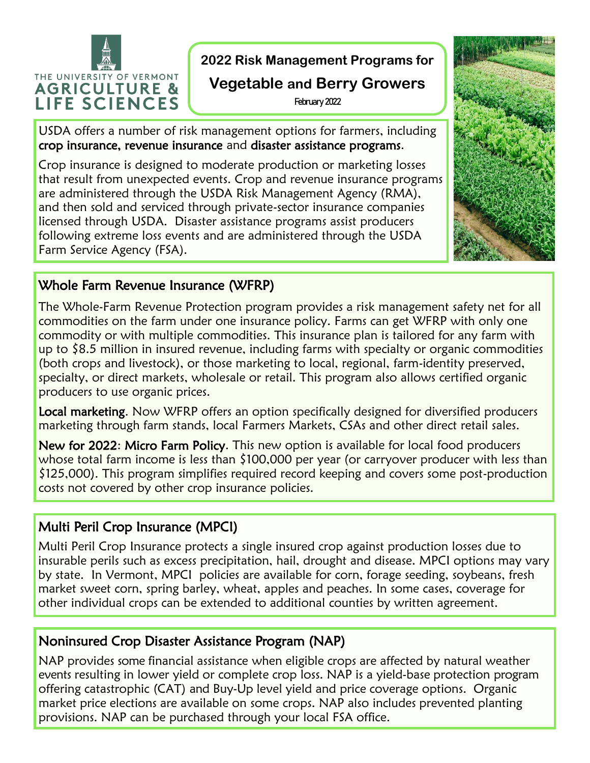

**2022 Risk Management Programs for** 

# **Vegetable and Berry Growers**

February 2022

USDA offers a number of risk management options for farmers, including crop insurance, revenue insurance and disaster assistance programs.

Crop insurance is designed to moderate production or marketing losses that result from unexpected events. Crop and revenue insurance programs are administered through the USDA Risk Management Agency (RMA), and then sold and serviced through private-sector insurance companies licensed through USDA. Disaster assistance programs assist producers following extreme loss events and are administered through the USDA Farm Service Agency (FSA).



### Whole Farm Revenue Insurance (WFRP)

The Whole-Farm Revenue Protection program provides a risk management safety net for all commodities on the farm under one insurance policy. Farms can get WFRP with only one commodity or with multiple commodities. This insurance plan is tailored for any farm with up to \$8.5 million in insured revenue, including farms with specialty or organic commodities (both crops and livestock), or those marketing to local, regional, farm-identity preserved, specialty, or direct markets, wholesale or retail. This program also allows certified organic producers to use organic prices.

Local marketing. Now WFRP offers an option specifically designed for diversified producers marketing through farm stands, local Farmers Markets, CSAs and other direct retail sales.

New for 2022: Micro Farm Policy. This new option is available for local food producers whose total farm income is less than \$100,000 per year (or carryover producer with less than \$125,000). This program simplifies required record keeping and covers some post-production costs not covered by other crop insurance policies.

# Multi Peril Crop Insurance (MPCI)

Multi Peril Crop Insurance protects a single insured crop against production losses due to insurable perils such as excess precipitation, hail, drought and disease. MPCI options may vary by state. In Vermont, MPCI policies are available for corn, forage seeding, soybeans, fresh market sweet corn, spring barley, wheat, apples and peaches. In some cases, coverage for other individual crops can be extended to additional counties by written agreement.

#### Noninsured Crop Disaster Assistance Program (NAP)

NAP provides some financial assistance when eligible crops are affected by natural weather events resulting in lower yield or complete crop loss. NAP is a yield-base protection program offering catastrophic (CAT) and Buy-Up level yield and price coverage options. Organic market price elections are available on some crops. NAP also includes prevented planting provisions. NAP can be purchased through your local FSA office.